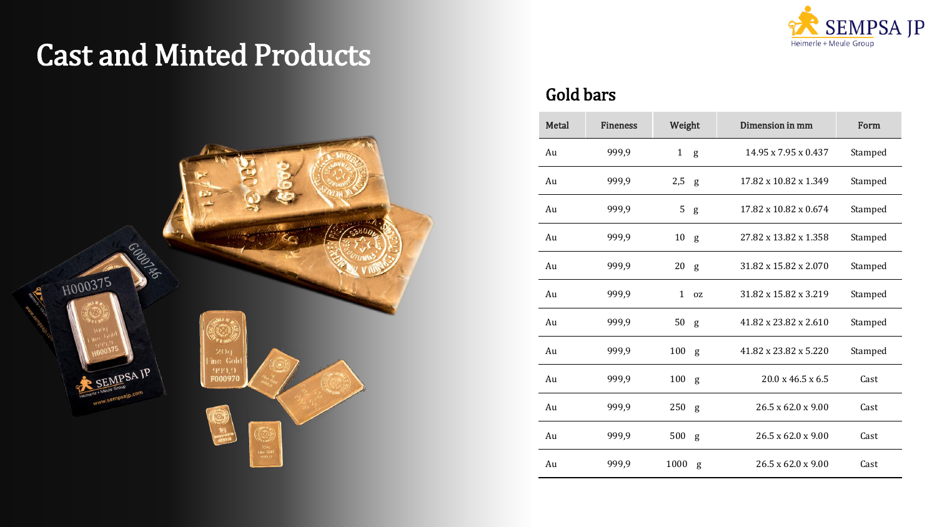



### Gold bars

| Metal | <b>Fineness</b> | Weight             | Dimension in mm                | Form    |
|-------|-----------------|--------------------|--------------------------------|---------|
| Au    | 999,9           | 1<br>g             | 14.95 x 7.95 x 0.437           | Stamped |
| Au    | 999,9           | 2,5<br>g           | 17.82 x 10.82 x 1.349          | Stamped |
| Au    | 999,9           | 5<br>g             | 17.82 x 10.82 x 0.674          | Stamped |
| Au    | 999,9           | 10<br>g            | 27.82 x 13.82 x 1.358          | Stamped |
| Au    | 999,9           | 20<br>g            | 31.82 x 15.82 x 2.070          | Stamped |
| Au    | 999,9           | $\mathbf{1}$<br>0Z | 31.82 x 15.82 x 3.219          | Stamped |
| Au    | 999,9           | 50<br>g            | 41.82 x 23.82 x 2.610          | Stamped |
| Au    | 999,9           | 100<br>g           | 41.82 x 23.82 x 5.220          | Stamped |
| Au    | 999,9           | 100<br>g           | 20.0 x 46.5 x 6.5              | Cast    |
| Au    | 999,9           | $250$ g            | $26.5 \times 62.0 \times 9.00$ | Cast    |
| Au    | 999,9           | 500<br>g           | $26.5 \times 62.0 \times 9.00$ | Cast    |
| Au    | 999,9           | 1000<br>g          | $26.5 \times 62.0 \times 9.00$ | Cast    |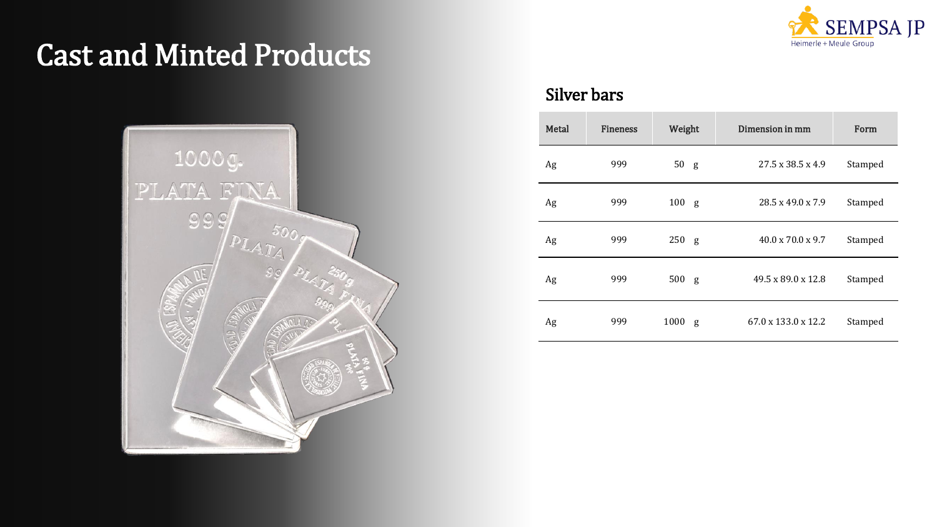



### Silver bars

| Metal | <b>Fineness</b> | Weight    | Dimension in mm                 | Form    |
|-------|-----------------|-----------|---------------------------------|---------|
| Ag    | 999             | 50<br>g   | $27.5 \times 38.5 \times 4.9$   | Stamped |
| Ag    | 999             | 100<br>g  | 28.5 x 49.0 x 7.9               | Stamped |
| Ag    | 999             | 250<br>g  | $40.0 \times 70.0 \times 9.7$   | Stamped |
| Ag    | 999             | 500<br>g  | 49.5 x 89.0 x 12.8              | Stamped |
| Ag    | 999             | 1000<br>g | $67.0 \times 133.0 \times 12.2$ | Stamped |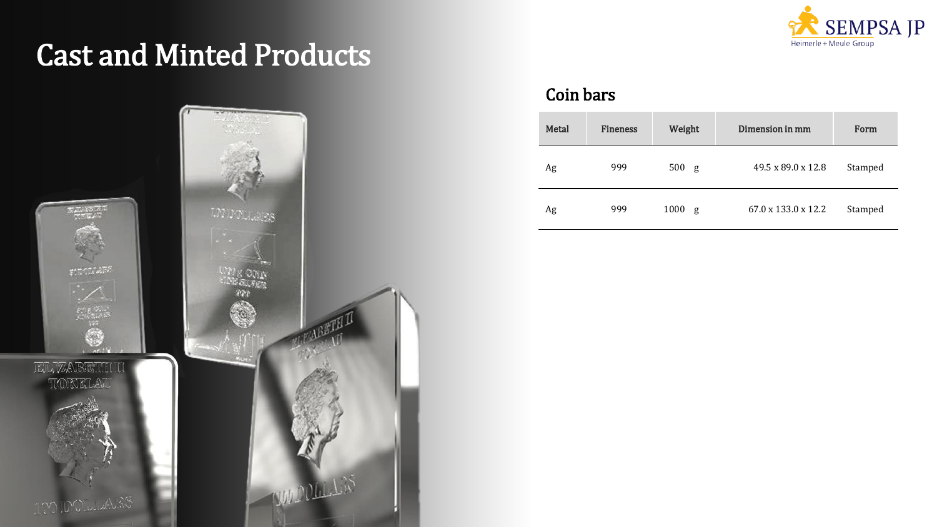

![](_page_2_Picture_2.jpeg)

#### Coin bars

| Metal | <b>Fineness</b> | Weight    | Dimension in mm                 | Form    |
|-------|-----------------|-----------|---------------------------------|---------|
| Ag    | 999             | 500<br>g  | 49.5 x 89.0 x 12.8              | Stamped |
| Ag    | 999             | 1000<br>g | $67.0 \times 133.0 \times 12.2$ | Stamped |